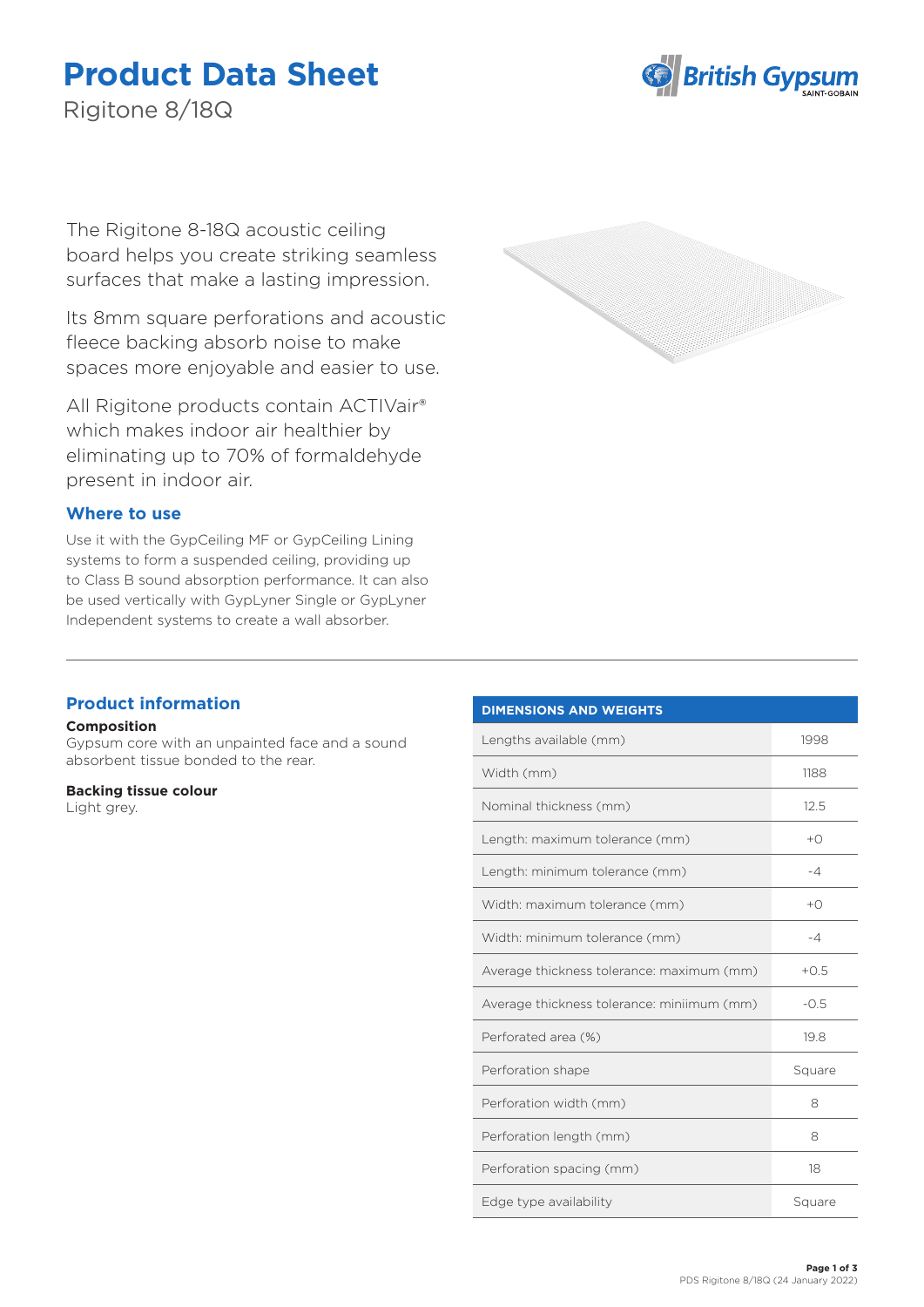# **Product Data Sheet**



Rigitone 8/18Q

The Rigitone 8-18Q acoustic ceiling board helps you create striking seamless surfaces that make a lasting impression.

Its 8mm square perforations and acoustic fleece backing absorb noise to make spaces more enjoyable and easier to use.

All Rigitone products contain ACTIVair® which makes indoor air healthier by eliminating up to 70% of formaldehyde present in indoor air.

## **Where to use**

Use it with the GypCeiling MF or GypCeiling Lining systems to form a suspended ceiling, providing up to Class B sound absorption performance. It can also be used vertically with GypLyner Single or GypLyner Independent systems to create a wall absorber.



## **Product information**

#### **Composition**

Gypsum core with an unpainted face and a sound absorbent tissue bonded to the rear.

#### **Backing tissue colour**

Light grey.

| <b>DIMENSIONS AND WEIGHTS</b>              |                |
|--------------------------------------------|----------------|
| Lengths available (mm)                     | 1998           |
| Width (mm)                                 | 1188           |
| Nominal thickness (mm)                     | 12.5           |
| Length: maximum tolerance (mm)             | $+\bigcirc$    |
| Length: minimum tolerance (mm)             | $-4$           |
| Width: maximum tolerance (mm)              | $+$ $\bigcirc$ |
| Width: minimum tolerance (mm)              | $-4$           |
| Average thickness tolerance: maximum (mm)  | $+0.5$         |
| Average thickness tolerance: miniimum (mm) | $-0.5$         |
| Perforated area (%)                        | 19.8           |
| Perforation shape                          | Square         |
| Perforation width (mm)                     | 8              |
| Perforation length (mm)                    | 8              |
| Perforation spacing (mm)                   | 18             |
| Edge type availability                     | Square         |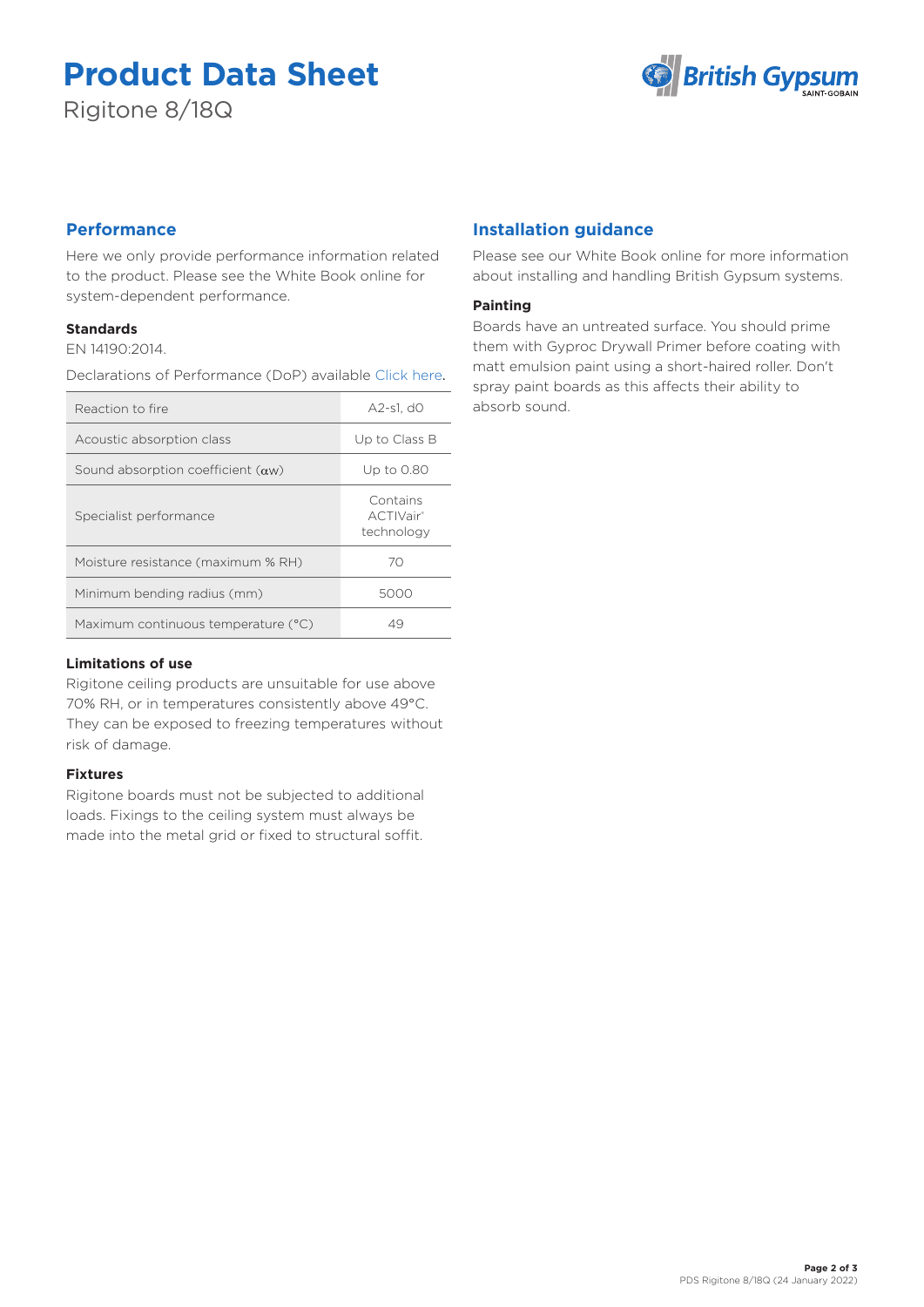# **Product Data Sheet**

Rigitone 8/18Q



## **Performance**

Here we only provide performance information related to the product. Please see the White Book online for system-dependent performance.

## **Standards**

EN 14190:2014.

Declarations of Performance (DoP) availabl[e Click here](https://www.british-gypsum.com/DoP).

| Reaction to fire                          | A2-s1. d0                                       |
|-------------------------------------------|-------------------------------------------------|
| Acoustic absorption class                 | Up to Class B                                   |
| Sound absorption coefficient $(\alpha w)$ | Up to 0.80                                      |
| Specialist performance                    | Contains<br>ACTIVair <sup>®</sup><br>technology |
| Moisture resistance (maximum % RH)        | 70                                              |
| Minimum bending radius (mm)               | 5000                                            |
| Maximum continuous temperature (°C)       | 49                                              |

## **Limitations of use**

Rigitone ceiling products are unsuitable for use above 70% RH, or in temperatures consistently above 49°C. They can be exposed to freezing temperatures without risk of damage.

### **Fixtures**

Rigitone boards must not be subjected to additional loads. Fixings to the ceiling system must always be made into the metal grid or fixed to structural soffit.

## **Installation guidance**

Please see our White Book online for more information about installing and handling British Gypsum systems.

## **Painting**

Boards have an untreated surface. You should prime them with Gyproc Drywall Primer before coating with matt emulsion paint using a short-haired roller. Don't spray paint boards as this affects their ability to absorb sound.